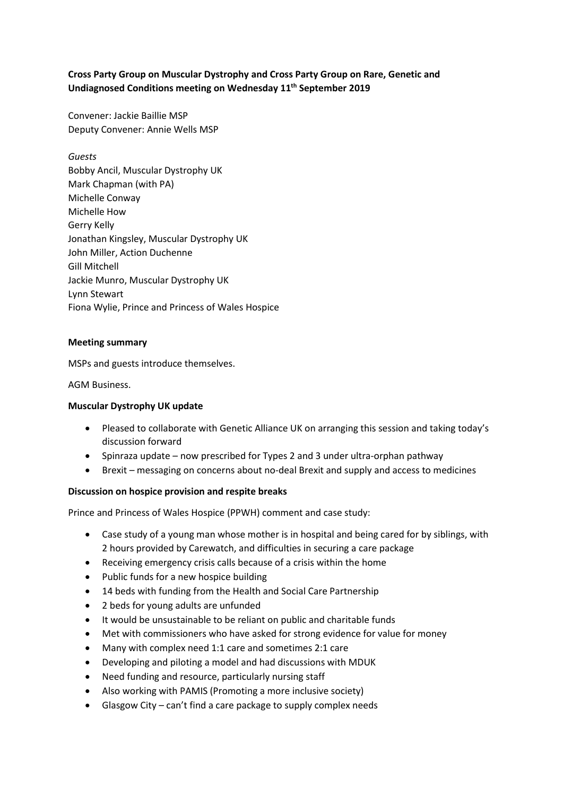# **Cross Party Group on Muscular Dystrophy and Cross Party Group on Rare, Genetic and Undiagnosed Conditions meeting on Wednesday 11th September 2019**

Convener: Jackie Baillie MSP Deputy Convener: Annie Wells MSP

*Guests* Bobby Ancil, Muscular Dystrophy UK Mark Chapman (with PA) Michelle Conway Michelle How Gerry Kelly Jonathan Kingsley, Muscular Dystrophy UK John Miller, Action Duchenne Gill Mitchell Jackie Munro, Muscular Dystrophy UK Lynn Stewart Fiona Wylie, Prince and Princess of Wales Hospice

## **Meeting summary**

MSPs and guests introduce themselves.

AGM Business.

### **Muscular Dystrophy UK update**

- Pleased to collaborate with Genetic Alliance UK on arranging this session and taking today's discussion forward
- Spinraza update now prescribed for Types 2 and 3 under ultra-orphan pathway
- Brexit messaging on concerns about no-deal Brexit and supply and access to medicines

### **Discussion on hospice provision and respite breaks**

Prince and Princess of Wales Hospice (PPWH) comment and case study:

- Case study of a young man whose mother is in hospital and being cared for by siblings, with 2 hours provided by Carewatch, and difficulties in securing a care package
- Receiving emergency crisis calls because of a crisis within the home
- Public funds for a new hospice building
- 14 beds with funding from the Health and Social Care Partnership
- 2 beds for young adults are unfunded
- It would be unsustainable to be reliant on public and charitable funds
- Met with commissioners who have asked for strong evidence for value for money
- Many with complex need 1:1 care and sometimes 2:1 care
- Developing and piloting a model and had discussions with MDUK
- Need funding and resource, particularly nursing staff
- Also working with PAMIS (Promoting a more inclusive society)
- Glasgow City can't find a care package to supply complex needs